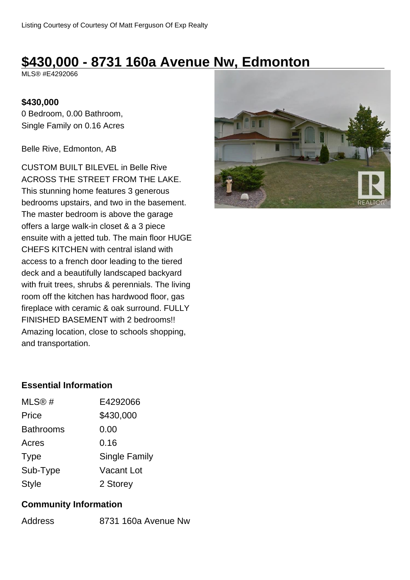# **\$430,000 - 8731 160a Avenue Nw, Edmonton**

MLS® #E4292066

## **\$430,000**

0 Bedroom, 0.00 Bathroom, Single Family on 0.16 Acres

Belle Rive, Edmonton, AB

CUSTOM BUILT BILEVEL in Belle Rive ACROSS THE STREET FROM THE LAKE. This stunning home features 3 generous bedrooms upstairs, and two in the basement. The master bedroom is above the garage offers a large walk-in closet & a 3 piece ensuite with a jetted tub. The main floor HUGE CHEFS KITCHEN with central island with access to a french door leading to the tiered deck and a beautifully landscaped backyard with fruit trees, shrubs & perennials. The living room off the kitchen has hardwood floor, gas fireplace with ceramic & oak surround. FULLY FINISHED BASEMENT with 2 bedrooms!! Amazing location, close to schools shopping, and transportation.



## **Essential Information**

| MLS@#            | E4292066      |  |  |
|------------------|---------------|--|--|
| Price            | \$430,000     |  |  |
| <b>Bathrooms</b> | 0.00          |  |  |
| Acres            | 0.16          |  |  |
| <b>Type</b>      | Single Family |  |  |
| Sub-Type         | Vacant Lot    |  |  |
| <b>Style</b>     | 2 Storey      |  |  |

## **Community Information**